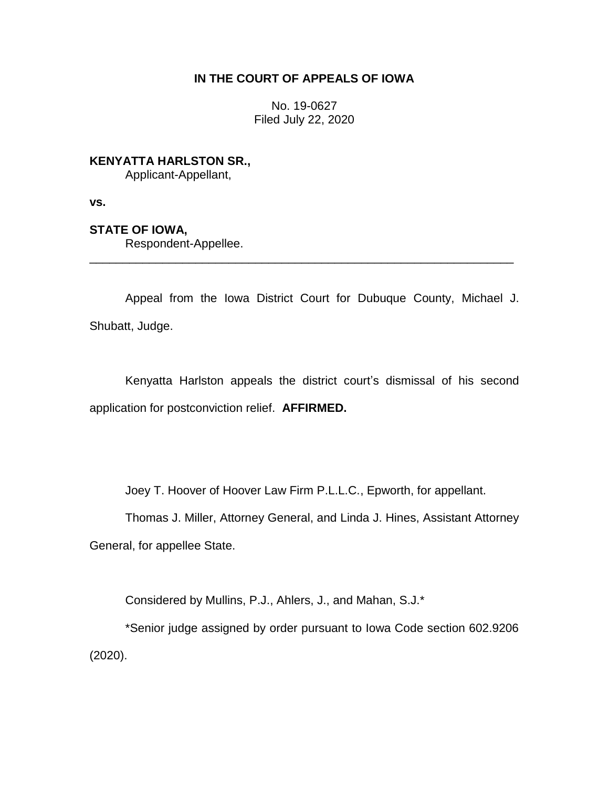## **IN THE COURT OF APPEALS OF IOWA**

No. 19-0627 Filed July 22, 2020

**KENYATTA HARLSTON SR.,**

Applicant-Appellant,

**vs.**

**STATE OF IOWA,**

Respondent-Appellee.

Appeal from the Iowa District Court for Dubuque County, Michael J. Shubatt, Judge.

\_\_\_\_\_\_\_\_\_\_\_\_\_\_\_\_\_\_\_\_\_\_\_\_\_\_\_\_\_\_\_\_\_\_\_\_\_\_\_\_\_\_\_\_\_\_\_\_\_\_\_\_\_\_\_\_\_\_\_\_\_\_\_\_

Kenyatta Harlston appeals the district court's dismissal of his second application for postconviction relief. **AFFIRMED.** 

Joey T. Hoover of Hoover Law Firm P.L.L.C., Epworth, for appellant.

Thomas J. Miller, Attorney General, and Linda J. Hines, Assistant Attorney General, for appellee State.

Considered by Mullins, P.J., Ahlers, J., and Mahan, S.J.\*

\*Senior judge assigned by order pursuant to Iowa Code section 602.9206 (2020).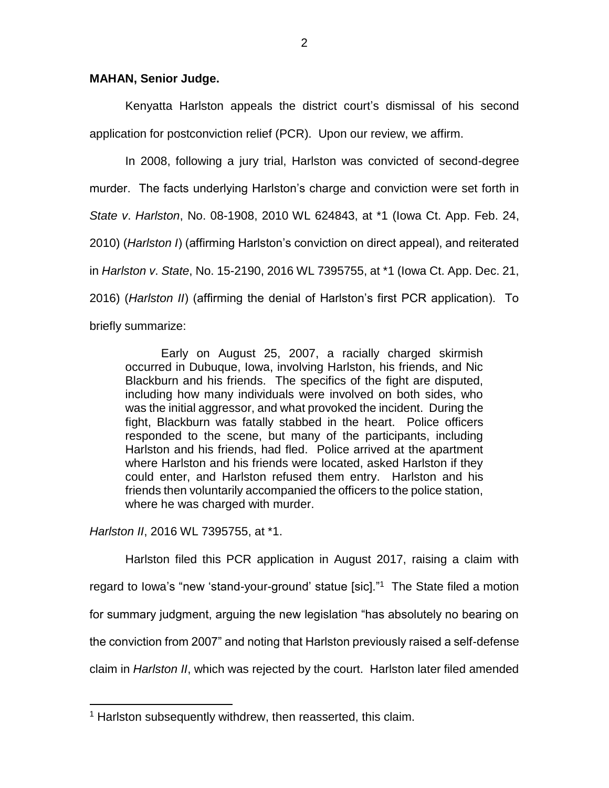## **MAHAN, Senior Judge.**

Kenyatta Harlston appeals the district court's dismissal of his second application for postconviction relief (PCR). Upon our review, we affirm.

In 2008, following a jury trial, Harlston was convicted of second-degree murder. The facts underlying Harlston's charge and conviction were set forth in *State v*. *Harlston*, No. 08-1908, 2010 WL 624843, at \*1 (Iowa Ct. App. Feb. 24, 2010) (*Harlston I*) (affirming Harlston's conviction on direct appeal), and reiterated in *Harlston v*. *State*, No. 15-2190, 2016 WL 7395755, at \*1 (Iowa Ct. App. Dec. 21, 2016) (*Harlston II*) (affirming the denial of Harlston's first PCR application). To briefly summarize:

Early on August 25, 2007, a racially charged skirmish occurred in Dubuque, Iowa, involving Harlston, his friends, and Nic Blackburn and his friends. The specifics of the fight are disputed, including how many individuals were involved on both sides, who was the initial aggressor, and what provoked the incident. During the fight, Blackburn was fatally stabbed in the heart. Police officers responded to the scene, but many of the participants, including Harlston and his friends, had fled. Police arrived at the apartment where Harlston and his friends were located, asked Harlston if they could enter, and Harlston refused them entry. Harlston and his friends then voluntarily accompanied the officers to the police station, where he was charged with murder.

*Harlston II*, 2016 WL 7395755, at \*1.

 $\overline{a}$ 

Harlston filed this PCR application in August 2017, raising a claim with regard to Iowa's "new 'stand-your-ground' statue [sic]."<sup>1</sup> The State filed a motion for summary judgment, arguing the new legislation "has absolutely no bearing on the conviction from 2007" and noting that Harlston previously raised a self-defense claim in *Harlston II*, which was rejected by the court. Harlston later filed amended

<sup>&</sup>lt;sup>1</sup> Harlston subsequently withdrew, then reasserted, this claim.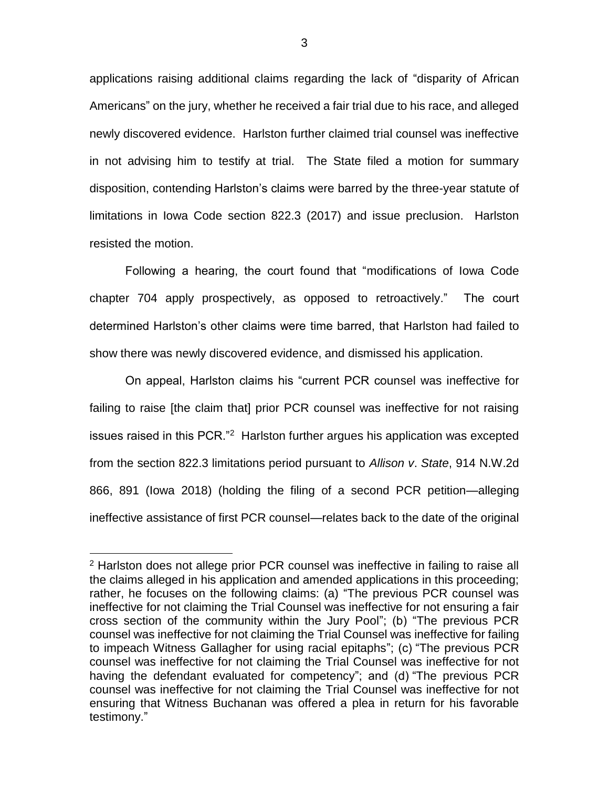applications raising additional claims regarding the lack of "disparity of African Americans" on the jury, whether he received a fair trial due to his race, and alleged newly discovered evidence. Harlston further claimed trial counsel was ineffective in not advising him to testify at trial. The State filed a motion for summary disposition, contending Harlston's claims were barred by the three-year statute of limitations in Iowa Code section 822.3 (2017) and issue preclusion. Harlston resisted the motion.

Following a hearing, the court found that "modifications of Iowa Code chapter 704 apply prospectively, as opposed to retroactively." The court determined Harlston's other claims were time barred, that Harlston had failed to show there was newly discovered evidence, and dismissed his application.

On appeal, Harlston claims his "current PCR counsel was ineffective for failing to raise [the claim that] prior PCR counsel was ineffective for not raising issues raised in this PCR."<sup>2</sup> Harlston further argues his application was excepted from the section 822.3 limitations period pursuant to *Allison v*. *State*, 914 N.W.2d 866, 891 (Iowa 2018) (holding the filing of a second PCR petition—alleging ineffective assistance of first PCR counsel—relates back to the date of the original

 $\overline{a}$ 

<sup>&</sup>lt;sup>2</sup> Harlston does not allege prior PCR counsel was ineffective in failing to raise all the claims alleged in his application and amended applications in this proceeding; rather, he focuses on the following claims: (a) "The previous PCR counsel was ineffective for not claiming the Trial Counsel was ineffective for not ensuring a fair cross section of the community within the Jury Pool"; (b) "The previous PCR counsel was ineffective for not claiming the Trial Counsel was ineffective for failing to impeach Witness Gallagher for using racial epitaphs"; (c) "The previous PCR counsel was ineffective for not claiming the Trial Counsel was ineffective for not having the defendant evaluated for competency"; and (d) "The previous PCR counsel was ineffective for not claiming the Trial Counsel was ineffective for not ensuring that Witness Buchanan was offered a plea in return for his favorable testimony."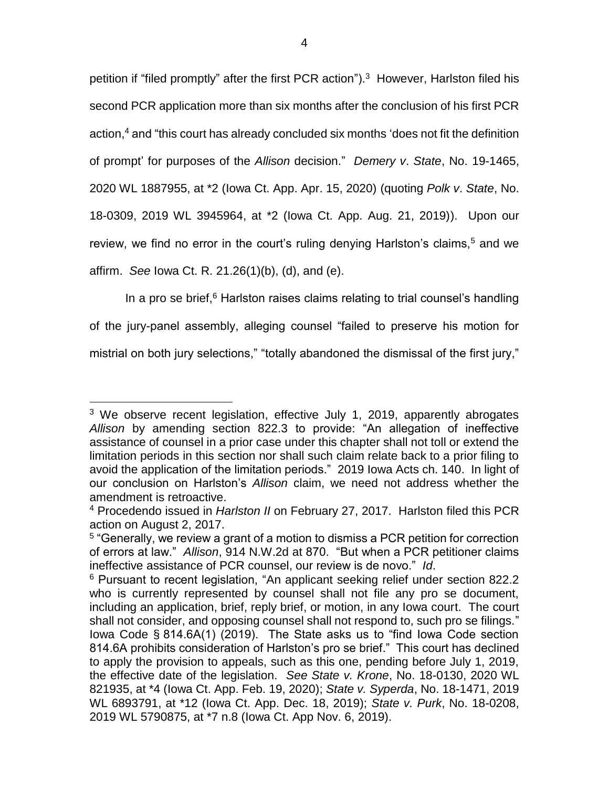petition if "filed promptly" after the first PCR action").<sup>3</sup> However, Harlston filed his second PCR application more than six months after the conclusion of his first PCR action,<sup>4</sup> and "this court has already concluded six months 'does not fit the definition of prompt' for purposes of the *Allison* decision." *Demery v*. *State*, No. 19-1465, 2020 WL 1887955, at \*2 (Iowa Ct. App. Apr. 15, 2020) (quoting *Polk v*. *State*, No. 18-0309, 2019 WL 3945964, at \*2 (Iowa Ct. App. Aug. 21, 2019)). Upon our review, we find no error in the court's ruling denying Harlston's claims,<sup>5</sup> and we affirm. *See* Iowa Ct. R. 21.26(1)(b), (d), and (e).

In a pro se brief, $6$  Harlston raises claims relating to trial counsel's handling of the jury-panel assembly, alleging counsel "failed to preserve his motion for mistrial on both jury selections," "totally abandoned the dismissal of the first jury,"

 $\overline{a}$ <sup>3</sup> We observe recent legislation, effective July 1, 2019, apparently abrogates *Allison* by amending section 822.3 to provide: "An allegation of ineffective assistance of counsel in a prior case under this chapter shall not toll or extend the limitation periods in this section nor shall such claim relate back to a prior filing to avoid the application of the limitation periods." 2019 Iowa Acts ch. 140. In light of our conclusion on Harlston's *Allison* claim, we need not address whether the amendment is retroactive.

<sup>4</sup> Procedendo issued in *Harlston II* on February 27, 2017. Harlston filed this PCR action on August 2, 2017.

<sup>&</sup>lt;sup>5</sup> "Generally, we review a grant of a motion to dismiss a PCR petition for correction of errors at law." *Allison*, 914 N.W.2d at 870. "But when a PCR petitioner claims ineffective assistance of PCR counsel, our review is de novo." *Id*.

<sup>6</sup> Pursuant to recent legislation, "An applicant seeking relief under section 822.2 who is currently represented by counsel shall not file any pro se document, including an application, brief, reply brief, or motion, in any Iowa court. The court shall not consider, and opposing counsel shall not respond to, such pro se filings." Iowa Code § 814.6A(1) (2019). The State asks us to "find Iowa Code section 814.6A prohibits consideration of Harlston's pro se brief." This court has declined to apply the provision to appeals, such as this one, pending before July 1, 2019, the effective date of the legislation. *See State v. Krone*, No. 18-0130, 2020 WL 821935, at \*4 (Iowa Ct. App. Feb. 19, 2020); *State v. Syperda*, No. 18-1471, 2019 WL 6893791, at \*12 (Iowa Ct. App. Dec. 18, 2019); *State v. Purk*, No. 18-0208, 2019 WL 5790875, at \*7 n.8 (Iowa Ct. App Nov. 6, 2019).